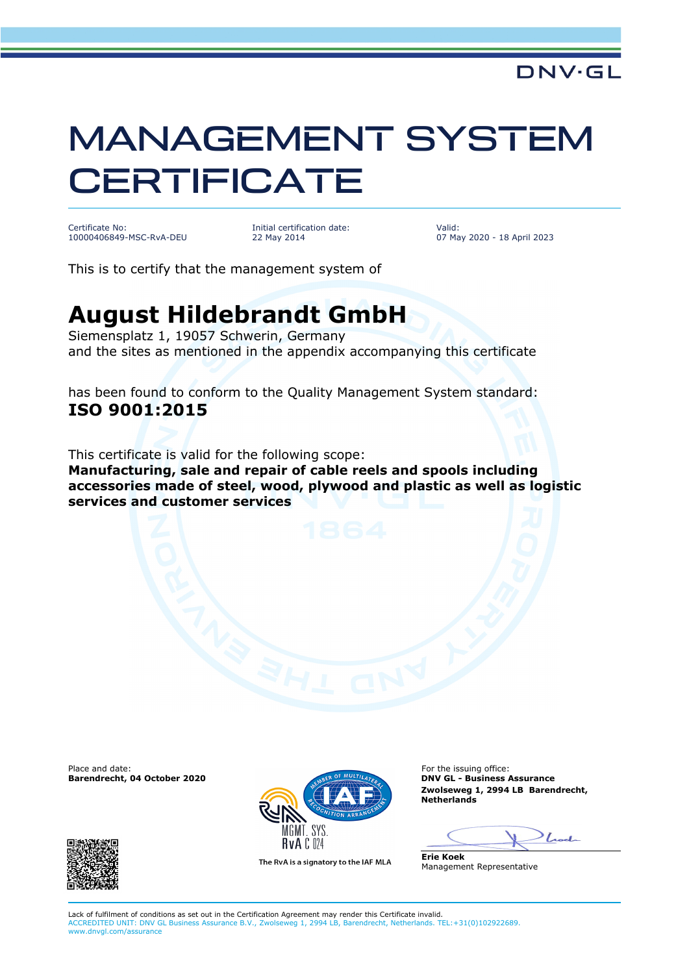## MANAGEMENT SYSTEM **CERTIFICATE**

Certificate No: 10000406849-MSC-RvA-DEU Initial certification date: 22 May 2014

Valid: 07 May 2020 - 18 April 2023

This is to certify that the management system of

**services and customer services**

## **August Hildebrandt GmbH**

Siemensplatz 1, 19057 Schwerin, Germany and the sites as mentioned in the appendix accompanying this certificate

has been found to conform to the Quality Management System standard: **ISO 9001:2015**

This certificate is valid for the following scope: **Manufacturing, sale and repair of cable reels and spools including accessories made of steel, wood, plywood and plastic as well as logistic** 

**Barendrecht, 04 October 2020** 





The RvA is a signatory to the IAF MLA

**Zwolseweg 1, 2994 LB Barendrecht, Netherlands**

 $\int_{\mathbb{R}}$ 

**Erie Koek** Management Representative

Lack of fulfilment of conditions as set out in the Certification Agreement may render this Certificate invalid. ACCREDITED UNIT: DNV GL Business Assurance B.V., Zwolseweg 1, 2994 LB, Barendrecht, Netherlands. TEL:+31(0)102922689. www.dnvgl.com/assurance